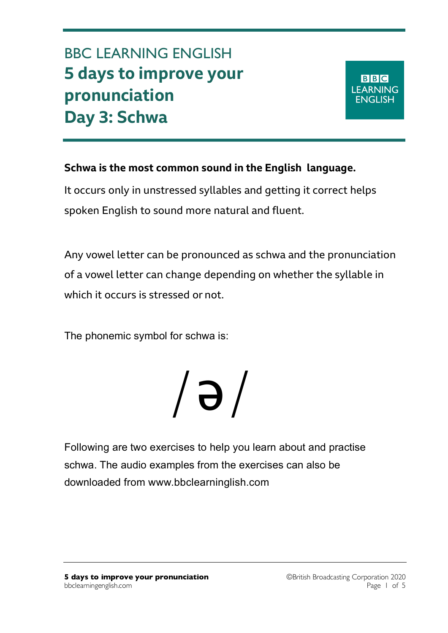## BBC LEARNING ENGLISH **5 days to improve your pronunciation Day 3: Schwa**

**BBC LEARNING ENGLISH** 

**Schwa is the most common sound in the English language.** 

It occurs only in unstressed syllables and getting it correct helps spoken English to sound more natural and fluent.

Any vowel letter can be pronounced as schwa and the pronunciation of a vowel letter can change depending on whether the syllable in which it occurs is stressed or not.

The phonemic symbol for schwa is:

# /ə/

Following are two exercises to help you learn about and practise schwa. The audio examples from the exercises can also be downloaded from www.bbclearninglish.com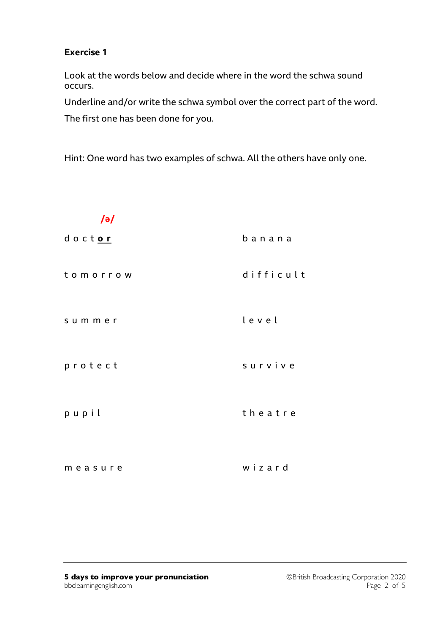### **Exercise 1**

Look at the words below and decide where in the word the schwa sound occurs.

Underline and/or write the schwa symbol over the correct part of the word.

The first one has been done for you.

Hint: One word has two examples of schwa. All the others have only one.

| $\sqrt{e}$ |           |
|------------|-----------|
| doctor     | banana    |
| tomorrow   | difficult |
| summer     | level     |
| protect    | survive   |
| pupil      | theatre   |
| measure    | wizard    |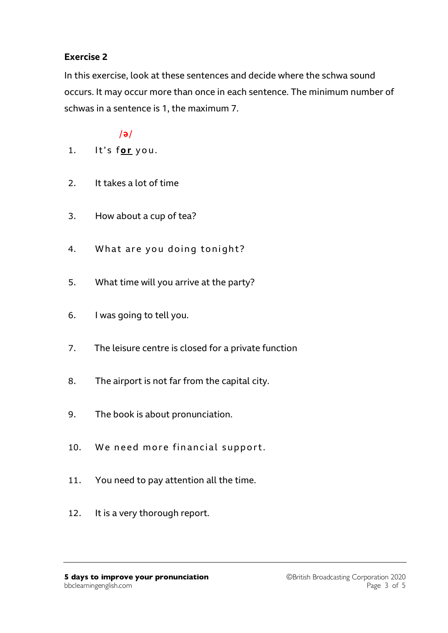## **Exercise 2**

In this exercise, look at these sentences and decide where the schwa sound occurs. It may occur more than once in each sentence. The minimum number of schwas in a sentence is 1, the maximum 7.

## $/$ ə $/$

- 1. It's for you.
- 2. It takes a lot of time
- 3. How about a cup of tea?
- 4. What are you doing tonight?
- 5. What time will you arrive at the party?
- 6. I was going to tell you.
- 7. The leisure centre is closed for a private function
- 8. The airport is not far from the capital city.
- 9. The book is about pronunciation.
- 10. We need more financial support.
- 11. You need to pay attention all the time.
- 12. It is a very thorough report.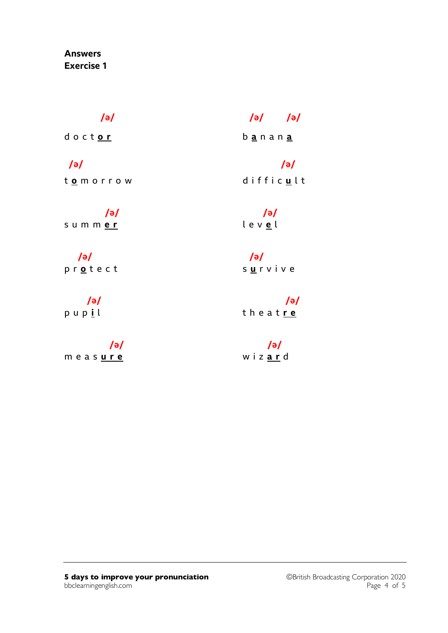## **Answers Exercise 1**

d o c t **o r** b **a** n a n **a**

t **o** m o r r o w d i f f i c **u** l t

 **/ə/ /ə/** s u m m **e r** l e v **e** l

 **/ə/ /ə/** p r <u>o</u> t e c t survive

# m e a s **u r e** w i z **a r** d

## **/ə/ /ə/ /ə/**

## **/ə/ /ə/**

 **/ə/ /ə/** p u p **i** l t h e a t **r e**

 **/ə/ /ə/**